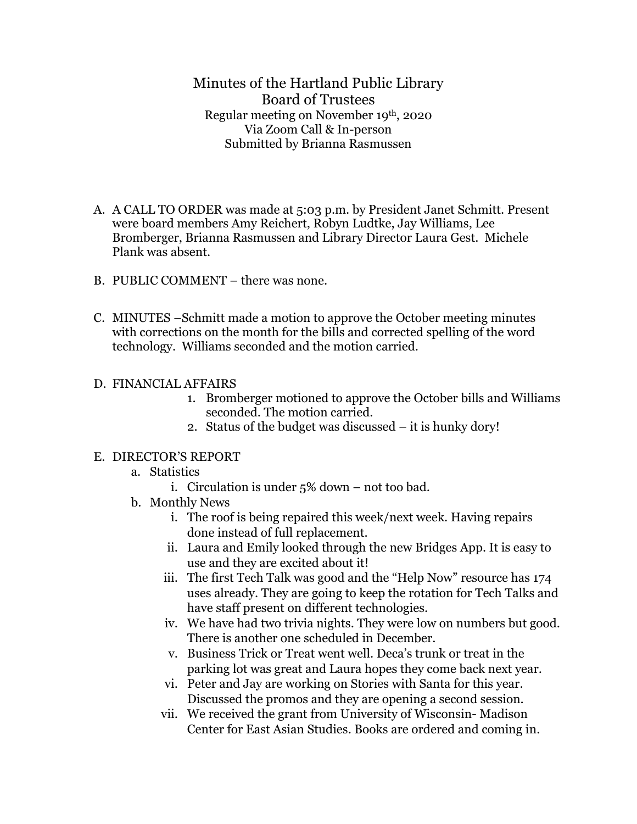Minutes of the Hartland Public Library Board of Trustees Regular meeting on November 19th, 2020 Via Zoom Call & In-person Submitted by Brianna Rasmussen

- A. A CALL TO ORDER was made at 5:03 p.m. by President Janet Schmitt. Present were board members Amy Reichert, Robyn Ludtke, Jay Williams, Lee Bromberger, Brianna Rasmussen and Library Director Laura Gest. Michele Plank was absent.
- B. PUBLIC COMMENT there was none.
- C. MINUTES –Schmitt made a motion to approve the October meeting minutes with corrections on the month for the bills and corrected spelling of the word technology. Williams seconded and the motion carried.

## D. FINANCIAL AFFAIRS

- 1. Bromberger motioned to approve the October bills and Williams seconded. The motion carried.
- 2. Status of the budget was discussed it is hunky dory!

## E. DIRECTOR'S REPORT

## a. Statistics

- i. Circulation is under 5% down not too bad.
- b. Monthly News
	- i. The roof is being repaired this week/next week. Having repairs done instead of full replacement.
	- ii. Laura and Emily looked through the new Bridges App. It is easy to use and they are excited about it!
	- iii. The first Tech Talk was good and the "Help Now" resource has 174 uses already. They are going to keep the rotation for Tech Talks and have staff present on different technologies.
	- iv. We have had two trivia nights. They were low on numbers but good. There is another one scheduled in December.
	- v. Business Trick or Treat went well. Deca's trunk or treat in the parking lot was great and Laura hopes they come back next year.
	- vi. Peter and Jay are working on Stories with Santa for this year. Discussed the promos and they are opening a second session.
	- vii. We received the grant from University of Wisconsin- Madison Center for East Asian Studies. Books are ordered and coming in.